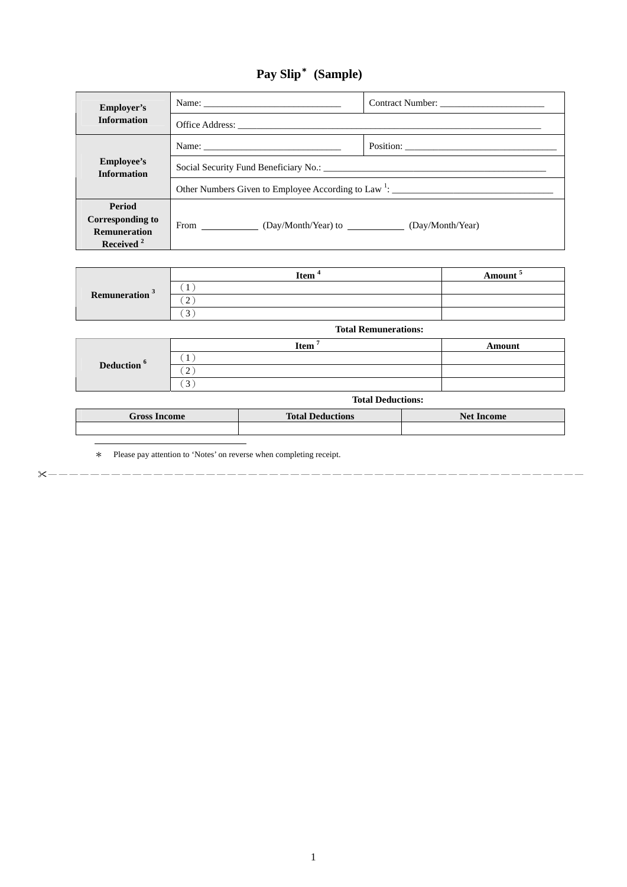## **Pay Slip**\* **(Sample)**

| Employer's                              |                                                                   |  |  |
|-----------------------------------------|-------------------------------------------------------------------|--|--|
| <b>Information</b>                      |                                                                   |  |  |
| <b>Employee's</b><br><b>Information</b> |                                                                   |  |  |
|                                         |                                                                   |  |  |
|                                         | Other Numbers Given to Employee According to Law $\frac{1}{1}$ :  |  |  |
| Period                                  |                                                                   |  |  |
| Corresponding to                        | From ____________ (Day/Month/Year) to __________ (Day/Month/Year) |  |  |
| <b>Remuneration</b>                     |                                                                   |  |  |
| Received $2$                            |                                                                   |  |  |

| Remuneration <sup>3</sup> | <b>Item</b> | <b>Amount</b> |
|---------------------------|-------------|---------------|
|                           |             |               |
|                           | -           |               |
|                           | ◡           |               |

|                        | <b>Total Remunerations:</b> |        |  |
|------------------------|-----------------------------|--------|--|
| Deduction <sup>6</sup> | <b>Item</b>                 | Amount |  |
|                        |                             |        |  |
|                        | $\bigcap$<br>∼              |        |  |
|                        |                             |        |  |

|  | <b>Total Deductions:</b> |
|--|--------------------------|
|--|--------------------------|

| <b>Gross Income</b> | <b>Total Deductions</b> | <b>Net Income</b> |
|---------------------|-------------------------|-------------------|
|                     |                         |                   |

\* Please pay attention to 'Notes' on reverse when completing receipt.

───────────────────────────────────────────────────

 $\overline{a}$